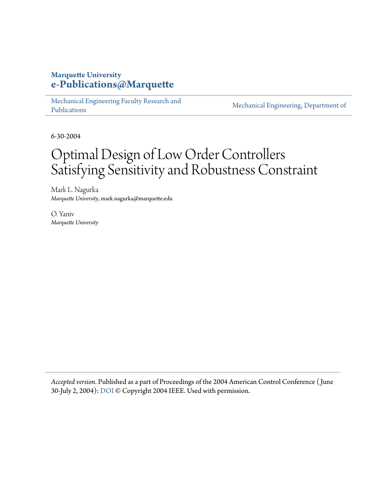## **Marquette University [e-Publications@Marquette](https://epublications.marquette.edu)**

[Mechanical Engineering Faculty Research and](https://epublications.marquette.edu/mechengin_fac) [Publications](https://epublications.marquette.edu/mechengin_fac)

[Mechanical Engineering, Department of](https://epublications.marquette.edu/mechengin)

6-30-2004

## Optimal Design of Low Order Controllers Satisfying Sensitivity and Robustness Constraint

Mark L. Nagurka *Marquette University*, mark.nagurka@marquette.edu

O. Yaniv *Marquette University*

*Accepted version*. Published as a part of Proceedings of the 2004 American Control Conference ( June 30-July 2, 2004): [DOI](https://doi.org/10.23919/ACC.2004.1383573) © Copyright 2004 IEEE. Used with permission.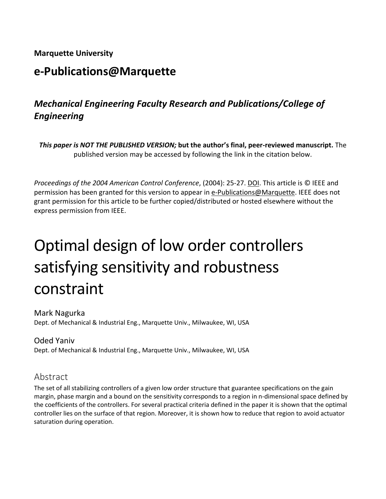## **Marquette University**

## **e-Publications@Marquette**

## *Mechanical Engineering Faculty Research and Publications/College of Engineering*

*This paper is NOT THE PUBLISHED VERSION;* **but the author's final, peer-reviewed manuscript.** The published version may be accessed by following the link in the citation below.

*Proceedings of the 2004 American Control Conference*, (2004): 25-27. DOI. This article is © IEEE and permission has been granted for this version to appear in [e-Publications@Marquette.](http://epublications.marquette.edu/) IEEE does not grant permission for this article to be further copied/distributed or hosted elsewhere without the express permission from IEEE.

# Optimal design of low order controllers satisfying sensitivity and robustness constraint

#### Mark Nagurka Dept. of Mechanical & Industrial Eng., Marquette Univ., Milwaukee, WI, USA

## Oded Yaniv

Dept. of Mechanical & Industrial Eng., Marquette Univ., Milwaukee, WI, USA

## Abstract

The set of all stabilizing controllers of a given low order structure that guarantee specifications on the gain margin, phase margin and a bound on the sensitivity corresponds to a region in n-dimensional space defined by the coefficients of the controllers. For several practical criteria defined in the paper it is shown that the optimal controller lies on the surface of that region. Moreover, it is shown how to reduce that region to avoid actuator saturation during operation.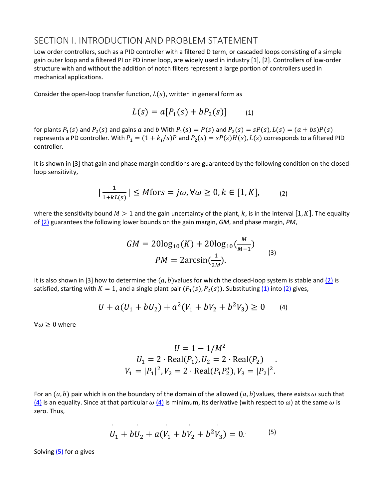#### SECTION I. INTRODUCTION AND PROBLEM STATEMENT

Low order controllers, such as a PID controller with a filtered D term, or cascaded loops consisting of a simple gain outer loop and a filtered PI or PD inner loop, are widely used in industry [1], [2]. Controllers of low-order structure with and without the addition of notch filters represent a large portion of controllers used in mechanical applications.

Consider the open-loop transfer function,  $L(s)$ , written in general form as

$$
L(s) = a[P_1(s) + bP_2(s)] \qquad (1)
$$

for plants  $P_1(s)$  and  $P_2(s)$  and gains  $a$  and  $b$  With  $P_1(s) = P(s)$  and  $P_2(s) = sP(s)$ ,  $L(s) = (a + bs)P(s)$ represents a PD controller. With  $P_1 = (1 + k_i/s)P$  and  $P_2(s) = sP(s)H(s)$ ,  $L(s)$  corresponds to a filtered PID controller.

It is shown in [3] that gain and phase margin conditions are guaranteed by the following condition on the closedloop sensitivity,

$$
|\frac{1}{1+kL(s)}| \le M \text{for } s = j\omega, \forall \omega \ge 0, k \in [1, K], \tag{2}
$$

where the sensitivity bound  $M > 1$  and the gain uncertainty of the plant, k, is in the interval [1, K]. The equality o[f \(2\)](https://ieeexplore.ieee.org/document/#deqn2) guarantees the following lower bounds on the gain margin, *GM*, and phase margin, *PM*,

$$
GM = 20\log_{10}(K) + 20\log_{10}(\frac{M}{M-1})
$$
  
PM =  $2\arcsin(\frac{1}{2M}).$  (3)

It is also shown in [3] how to determine the  $(a, b)$  values for which the closed-loop system is stable and  $(2)$  is satisfied, starting with  $K = 1$ , and a single plant pair  $(P_1(s), P_2(s))$ . Substituting  $(1)$  into  $(2)$  gives,

$$
U + a(U_1 + bU_2) + a^2(V_1 + bV_2 + b^2V_3) \ge 0 \tag{4}
$$

 $\forall \omega \geq 0$  where

$$
U = 1 - 1/M^2
$$
  
\n
$$
U_1 = 2 \cdot \text{Real}(P_1), U_2 = 2 \cdot \text{Real}(P_2)
$$
  
\n
$$
V_1 = |P_1|^2, V_2 = 2 \cdot \text{Real}(P_1 P_2^*), V_3 = |P_2|^2.
$$

For an  $(a, b)$  pair which is on the boundary of the domain of the allowed  $(a, b)$ values, there exists  $\omega$  such that [\(4\)](https://ieeexplore.ieee.org/document/#deqn4) is an equality. Since at that particular  $\omega$  (4) is minimum, its derivative (with respect to  $\omega$ ) at the same  $\omega$  is zero. Thus,

$$
U_1 + bU_2 + a(V_1 + bV_2 + b^2V_3) = 0.
$$
 (5)

Solving  $(5)$  for a gives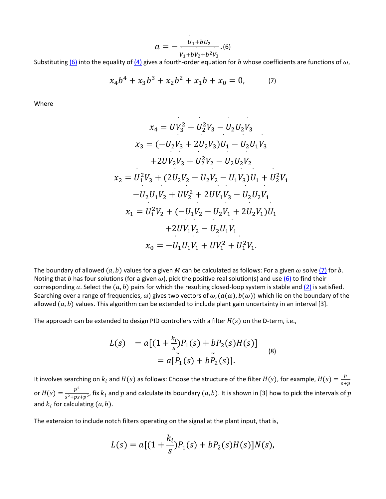$$
a=-\frac{U_1+bU_2}{V_1+bV_2+b^2V_3}.
$$
 (6)

 $V_1+bV_2+b^2V_3$ <br>Substituting <u>(6)</u> into the equality of <u>(4)</u> gives a fourth-order equation for *b* whose coefficients are functions of ω,

$$
x_4b^4 + x_3b^3 + x_2b^2 + x_1b + x_0 = 0, \t(7)
$$

Where

$$
x_4 = UV_3^2 + U_2^2 V_3 - U_2 U_2 V_3
$$
  
\n
$$
x_3 = (-U_2 V_3 + 2U_2 V_3)U_1 - U_2 U_1 V_3
$$
  
\n
$$
+ 2U V_2 V_3 + U_2^2 V_2 - U_2 U_2 V_2
$$
  
\n
$$
x_2 = U_1^2 V_3 + (2U_2 V_2 - U_2 V_2 - U_1 V_3)U_1 + U_2^2 V_1
$$
  
\n
$$
-U_2 U_1 V_2 + U V_2^2 + 2U V_1 V_3 - U_2 U_2 V_1
$$
  
\n
$$
x_1 = U_1^2 V_2 + (-U_1 V_2 - U_2 V_1 + 2U_2 V_1)U_1
$$
  
\n
$$
+ 2U V_1 V_2 - U_2 U_1 V_1
$$
  
\n
$$
x_0 = -U_1 U_1 V_1 + U V_1^2 + U_1^2 V_1.
$$

The boundary of allowed  $(a, b)$  values for a given M can be calculated as follows: For a given  $\omega$  solve  $(7)$  for  $b$ . Noting that *b* has four solutions (for a given  $\omega$ ), pick the positive real solution(s) and use [\(6\)](https://ieeexplore.ieee.org/document/#deqn6) to find their corresponding a. Select the  $(a, b)$  pairs for which the resulting closed-loop system is stable and [\(2\)](https://ieeexplore.ieee.org/document/#deqn2) is satisfied. Searching over a range of frequencies,  $\omega$ ) gives two vectors of  $\omega$ ,  $(a(\omega), b(\omega))$  which lie on the boundary of the allowed  $(a, b)$  values. This algorithm can be extended to include plant gain uncertainty in an interval [3].

The approach can be extended to design PID controllers with a filter  $H(s)$  on the D-term, i.e.,

$$
L(s) = a[(1 + \frac{k_i}{s})P_1(s) + bP_2(s)H(s)]
$$
  
=  $a[\tilde{P}_1(s) + b\tilde{P}_2(s)].$  (8)

It involves searching on  $k_i$  and  $H(s)$  as follows: Choose the structure of the filter  $H(s)$ , for example,  $H(s) = \frac{p}{s+p}$ or  $H(s) = \frac{p^2}{s^2+ps+p^2}$ , fix  $k_i$  and  $p$  and calculate its boundary  $(a, b)$ . It is shown in [3] how to pick the intervals of  $p$ and  $k_i$  for calculating  $(a, b)$ .

The extension to include notch filters operating on the signal at the plant input, that is,

$$
L(s) = a[(1 + \frac{k_i}{s})P_1(s) + bP_2(s)H(s)]N(s),
$$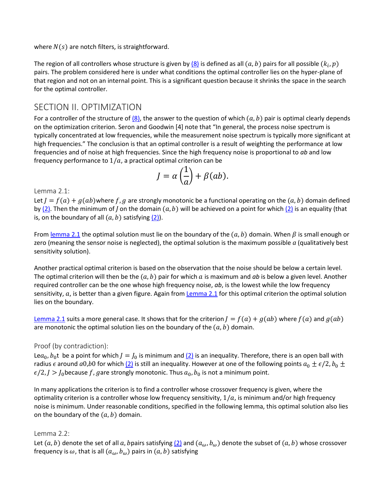where  $N(s)$  are notch filters, is straightforward.

The region of all controllers whose structure is given by  $(8)$  is defined as all  $(a, b)$  pairs for all possible  $(k_i, p)$ pairs. The problem considered here is under what conditions the optimal controller lies on the hyper-plane of that region and not on an internal point. This is a significant question because it shrinks the space in the search for the optimal controller.

## SECTION II. OPTIMIZATION

For a controller of the structure of  $(8)$ , the answer to the question of which  $(a, b)$  pair is optimal clearly depends on the optimization criterion. Seron and Goodwin [4] note that "In general, the process noise spectrum is typically concentrated at low frequencies, while the measurement noise spectrum is typically more significant at high frequencies." The conclusion is that an optimal controller is a result of weighting the performance at low frequencies and of noise at high frequencies. Since the high frequency noise is proportional to *ab* and low frequency performance to  $1/a$ , a practical optimal criterion can be

$$
J = \alpha \left(\frac{1}{a}\right) + \beta(ab).
$$

Lemma 2.1:

Let  $J = f(a) + g(ab)$ where f, g are strongly monotonic be a functional operating on the  $(a, b)$  domain defined by  $(2)$ . Then the minimum of *J* on the domain  $(a, b)$  will be achieved on a point for which  $(2)$  is an equality (that is, on the boundary of all  $(a, b)$  satisfying  $(2)$ ).

From <u>lemma 2.1</u> the optimal solution must lie on the boundary of the  $(a, b)$  domain. When  $\beta$  is small enough or zero (meaning the sensor noise is neglected), the optimal solution is the maximum possible *a* (qualitatively best sensitivity solution).

Another practical optimal criterion is based on the observation that the noise should be below a certain level. The optimal criterion will then be the  $(a, b)$  pair for which a is maximum and *ab* is below a given level. Another required controller can be the one whose high frequency noise, *ab*, is the lowest while the low frequency sensitivity,  $a$ , is better than a given figure. Again from [Lemma 2.1](https://ieeexplore.ieee.org/document/#state1) for this optimal criterion the optimal solution lies on the boundary.

[Lemma 2.1](https://ieeexplore.ieee.org/document/#state1) suits a more general case. It shows that for the criterion  $J = f(a) + g(ab)$  where  $f(a)$  and  $g(ab)$ are monotonic the optimal solution lies on the boundary of the  $(a, b)$  domain.

#### Proof (by contradiction):

Le $a_0$ ,  $b_0$ t be a point for which  $J = J_0$  is minimum and  $(2)$  is an inequality. Therefore, there is an open ball with radius  $\epsilon$  around  $a0$ ,*b*0 for which [\(2\)](https://ieeexplore.ieee.org/document/#deqn2) is still an inequality. However at one of the following points  $a_0 \pm \epsilon/2$ ,  $b_0 \pm$  $\epsilon/2$ ,  $J > J_0$  because f, gare strongly monotonic. Thus  $a_0$ ,  $b_0$  is not a minimum point.

In many applications the criterion is to find a controller whose crossover frequency is given, where the optimality criterion is a controller whose low frequency sensitivity,  $1/a$ , is minimum and/or high frequency noise is minimum. Under reasonable conditions, specified in the following lemma, this optimal solution also lies on the boundary of the  $(a, b)$  domain.

#### Lemma 2.2:

Let  $(a, b)$  denote the set of all a, bpairs satisfying  $(2)$  and  $(a_\omega, b_\omega)$  denote the subset of  $(a, b)$  whose crossover frequency is  $\omega$ , that is all  $(a_{\omega}, b_{\omega})$  pairs in  $(a, b)$  satisfying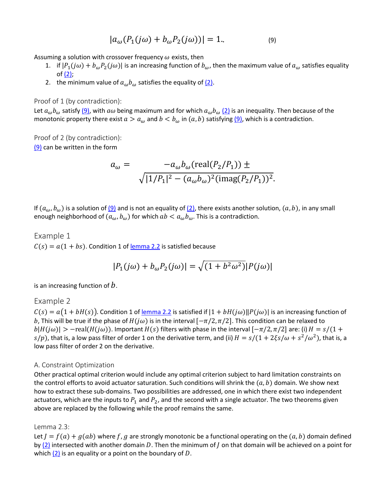$$
|a_{\omega}(P_1(j\omega) + b_{\omega}P_2(j\omega))| = 1.
$$
 (9)

Assuming a solution with crossover frequency  $\omega$  exists, then

- 1. if  $|P_1(j\omega)+b_{\omega}P_2(j\omega)|$  is an increasing function of  $b_{\omega}$ , then the maximum value of  $a_{\omega}$  satisfies equality of  $(2)$ ;
- 2. the minimum value of  $a_{\omega}b_{\omega}$  satisfies the equality of  $(2)$ .

Proof of 1 (by contradiction):

Let  $a_\omega b_\omega$  satisf[y \(9\),](https://ieeexplore.ieee.org/document/#deqn9) with  $a\omega$  being maximum and for which  $a_\omega b_\omega$  [\(2\)](https://ieeexplore.ieee.org/document/#deqn2) is an inequality. Then because of the monotonic property there exist  $a > a_{\omega}$  and  $b < b_{\omega}$  in  $(a, b)$  satisfying  $(9)$ , which is a contradiction.

Proof of 2 (by contradiction): [\(9\)](https://ieeexplore.ieee.org/document/#deqn9) can be written in the form

$$
a_{\omega} = -a_{\omega}b_{\omega}(\text{real}(P_2/P_1)) \pm \sqrt{|1/P_1|^2 - (a_{\omega}b_{\omega})^2(\text{imag}(P_2/P_1))^2}.
$$

If  $(a_\omega, b_\omega)$  is a solution of  $(9)$  and is not an equality of  $(2)$ , there exists another solution,  $(a, b)$ , in any small enough neighborhood of  $(a_{\omega}, b_{\omega})$  for which  $ab < a_{\omega} b_{\omega}$ . This is a contradiction.

#### Example 1

 $C(s) = a(1 + bs)$ . Condition 1 of <u>lemma 2.2</u> is satisfied because

$$
|P_1(j\omega) + b_\omega P_2(j\omega)| = \sqrt{(1 + b^2 \omega^2)} |P(j\omega)|
$$

is an increasing function of  $b$ .

#### Example 2

 $C(s) = a(1 + bH(s))$ . Condition 1 of <u>lemma 2.2</u> is satisfied if  $|1 + bH(j\omega)||P(j\omega)|$  is an increasing function of b, This will be true if the phase of  $H(jω)$  is in the interval  $[-\pi/2, \pi/2]$ . This condition can be relaxed to  $|b|H(j\omega)| > -real(H(j\omega))$ . Important  $H(s)$  filters with phase in the interval  $[-\pi/2, \pi/2]$  are: (i)  $H = s/(1 +$  $s/p$ ), that is, a low pass filter of order 1 on the derivative term, and (ii)  $H = s/(1 + 2\xi s/\omega + s^2/\omega^2)$ , that is, a low pass filter of order 2 on the derivative.

#### A. Constraint Optimization

Other practical optimal criterion would include any optimal criterion subject to hard limitation constraints on the control efforts to avoid actuator saturation. Such conditions will shrink the  $(a, b)$  domain. We show next how to extract these sub-domains. Two possibilities are addressed, one in which there exist two independent actuators, which are the inputs to  $P_1$  and  $P_2$ , and the second with a single actuator. The two theorems given above are replaced by the following while the proof remains the same.

#### Lemma 2.3:

Let  $J = f(a) + g(ab)$  where f, g are strongly monotonic be a functional operating on the  $(a, b)$  domain defined by [\(2\)](https://ieeexplore.ieee.org/document/#deqn2) intersected with another domain D. Then the minimum of  $J$  on that domain will be achieved on a point for which  $(2)$  is an equality or a point on the boundary of D.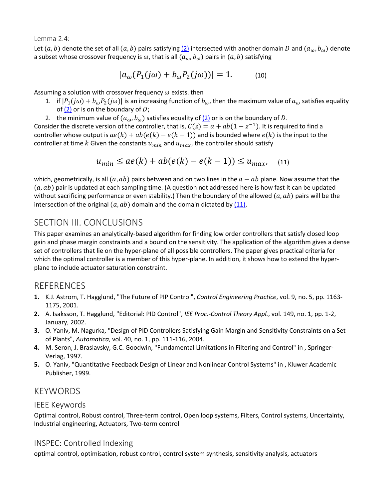Lemma 2.4:

Let  $(a, b)$  denote the set of all  $(a, b)$  pairs satisfying  $(2)$  intersected with another domain D and  $(a_\omega, b_\omega)$  denote a subset whose crossover frequency is  $\omega$ , that is all  $(a_{\omega}, b_{\omega})$  pairs in  $(a, b)$  satisfying

$$
|a_{\omega}(P_1(j\omega) + b_{\omega}P_2(j\omega))| = 1.
$$
 (10)

Assuming a solution with crossover frequency  $\omega$  exists. then

- 1. if  $|P_1(j\omega) + b_{\omega}P_2(j\omega)|$  is an increasing function of  $b_{\omega}$ , then the maximum value of  $a_{\omega}$  satisfies equality of  $(2)$  or is on the boundary of D;
- 2. the minimum value of  $(a_{\omega}, b_{\omega})$  satisfies equality of [\(2\)](https://ieeexplore.ieee.org/document/#deqn2) or is on the boundary of D.

Consider the discrete version of the controller, that is,  $C(z) = a + ab(1 - z^{-1})$ . It is required to find a controller whose output is  $ae(k) + ab(e(k) - e(k - 1))$  and is bounded where  $e(k)$  is the input to the controller at time k Given the constants  $u_{min}$  and  $u_{max}$ , the controller should satisfy

$$
u_{min} \le ae(k) + ab(e(k) - e(k-1)) \le u_{max}, \quad (11)
$$

which, geometrically, is all  $(a, ab)$  pairs between and on two lines in the  $a - ab$  plane. Now assume that the  $(a, ab)$  pair is updated at each sampling time. (A question not addressed here is how fast it can be updated without sacrificing performance or even stability.) Then the boundary of the allowed  $(a, ab)$  pairs will be the intersection of the original  $(a, ab)$  domain and the domain dictated b[y \(11\).](https://ieeexplore.ieee.org/document/#deqn11)

## SECTION III. CONCLUSIONS

This paper examines an analytically-based algorithm for finding low order controllers that satisfy closed loop gain and phase margin constraints and a bound on the sensitivity. The application of the algorithm gives a dense set of controllers that lie on the hyper-plane of all possible controllers. The paper gives practical criteria for which the optimal controller is a member of this hyper-plane. In addition, it shows how to extend the hyperplane to include actuator saturation constraint.

## **REFERENCES**

- **1.** K.J. Astrom, T. Hagglund, "The Future of PIP Control", *Control Engineering Practice*, vol. 9, no. 5, pp. 1163- 1175, 2001.
- **2.** A. Isaksson, T. Hagglund, "Editorial: PID Control", *IEE Proc.-Control Theory Appl.*, vol. 149, no. 1, pp. 1-2, January, 2002.
- **3.** O. Yaniv, M. Nagurka, "Design of PID Controllers Satisfying Gain Margin and Sensitivity Constraints on a Set of Plants", *Automatica*, vol. 40, no. 1, pp. 111-116, 2004.
- **4.** M. Seron, J. Braslavsky, G.C. Goodwin, "Fundamental Limitations in Filtering and Control" in , Springer-Verlag, 1997.
- **5.** O. Yaniv, "Quantitative Feedback Design of Linear and Nonlinear Control Systems" in , Kluwer Academic Publisher, 1999.

## KEYWORDS

#### IEEE Keywords

Optimal control, Robust control, Three-term control, Open loop systems, Filters, Control systems, Uncertainty, Industrial engineering, Actuators, Two-term control

#### INSPEC: Controlled Indexing

optimal control, optimisation, robust control, control system synthesis, sensitivity analysis, actuators